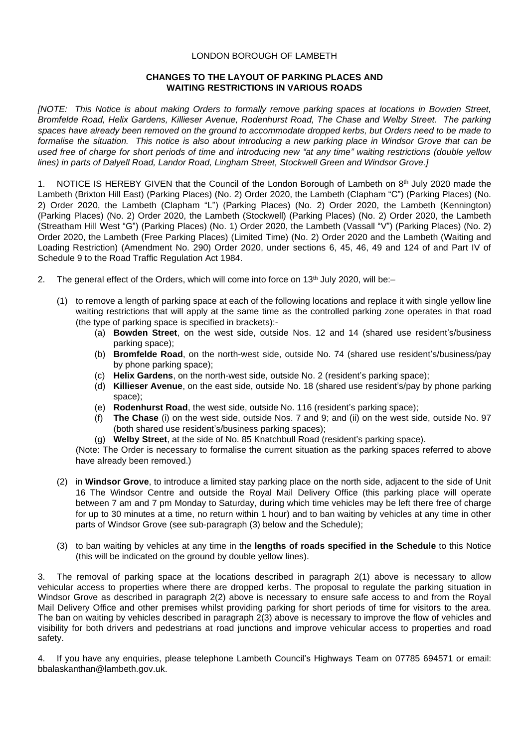#### LONDON BOROUGH OF LAMBETH

#### **CHANGES TO THE LAYOUT OF PARKING PLACES AND WAITING RESTRICTIONS IN VARIOUS ROADS**

*[NOTE: This Notice is about making Orders to formally remove parking spaces at locations in Bowden Street, Bromfelde Road, Helix Gardens, Killieser Avenue, Rodenhurst Road, The Chase and Welby Street. The parking spaces have already been removed on the ground to accommodate dropped kerbs, but Orders need to be made to formalise the situation. This notice is also about introducing a new parking place in Windsor Grove that can be used free of charge for short periods of time and introducing new "at any time" waiting restrictions (double yellow lines) in parts of Dalyell Road, Landor Road, Lingham Street, Stockwell Green and Windsor Grove.]*

1. NOTICE IS HEREBY GIVEN that the Council of the London Borough of Lambeth on  $8<sup>th</sup>$  July 2020 made the Lambeth (Brixton Hill East) (Parking Places) (No. 2) Order 2020, the Lambeth (Clapham "C") (Parking Places) (No. 2) Order 2020, the Lambeth (Clapham "L") (Parking Places) (No. 2) Order 2020, the Lambeth (Kennington) (Parking Places) (No. 2) Order 2020, the Lambeth (Stockwell) (Parking Places) (No. 2) Order 2020, the Lambeth (Streatham Hill West "G") (Parking Places) (No. 1) Order 2020, the Lambeth (Vassall "V") (Parking Places) (No. 2) Order 2020, the Lambeth (Free Parking Places) (Limited Time) (No. 2) Order 2020 and the Lambeth (Waiting and Loading Restriction) (Amendment No. 290) Order 2020, under sections 6, 45, 46, 49 and 124 of and Part IV of Schedule 9 to the Road Traffic Regulation Act 1984.

- 2. The general effect of the Orders, which will come into force on  $13<sup>th</sup>$  July 2020, will be:-
	- (1) to remove a length of parking space at each of the following locations and replace it with single yellow line waiting restrictions that will apply at the same time as the controlled parking zone operates in that road (the type of parking space is specified in brackets):-
		- (a) **Bowden Street**, on the west side, outside Nos. 12 and 14 (shared use resident's/business parking space);
		- (b) **Bromfelde Road**, on the north-west side, outside No. 74 (shared use resident's/business/pay by phone parking space);
		- (c) **Helix Gardens**, on the north-west side, outside No. 2 (resident's parking space);
		- (d) **Killieser Avenue**, on the east side, outside No. 18 (shared use resident's/pay by phone parking space);
		- (e) **Rodenhurst Road**, the west side, outside No. 116 (resident's parking space);
		- (f) **The Chase** (i) on the west side, outside Nos. 7 and 9; and (ii) on the west side, outside No. 97 (both shared use resident's/business parking spaces);
		- (g) **Welby Street**, at the side of No. 85 Knatchbull Road (resident's parking space).

(Note: The Order is necessary to formalise the current situation as the parking spaces referred to above have already been removed.)

- (2) in **Windsor Grove**, to introduce a limited stay parking place on the north side, adjacent to the side of Unit 16 The Windsor Centre and outside the Royal Mail Delivery Office (this parking place will operate between 7 am and 7 pm Monday to Saturday, during which time vehicles may be left there free of charge for up to 30 minutes at a time, no return within 1 hour) and to ban waiting by vehicles at any time in other parts of Windsor Grove (see sub-paragraph (3) below and the Schedule);
- (3) to ban waiting by vehicles at any time in the **lengths of roads specified in the Schedule** to this Notice (this will be indicated on the ground by double yellow lines).

3. The removal of parking space at the locations described in paragraph 2(1) above is necessary to allow vehicular access to properties where there are dropped kerbs. The proposal to regulate the parking situation in Windsor Grove as described in paragraph 2(2) above is necessary to ensure safe access to and from the Royal Mail Delivery Office and other premises whilst providing parking for short periods of time for visitors to the area. The ban on waiting by vehicles described in paragraph 2(3) above is necessary to improve the flow of vehicles and visibility for both drivers and pedestrians at road junctions and improve vehicular access to properties and road safety.

4. If you have any enquiries, please telephone Lambeth Council's Highways Team on 07785 694571 or email: [bbalaskanthan@lambeth.gov.uk.](mailto:bbalaskanthan@lambeth.gov.uk)